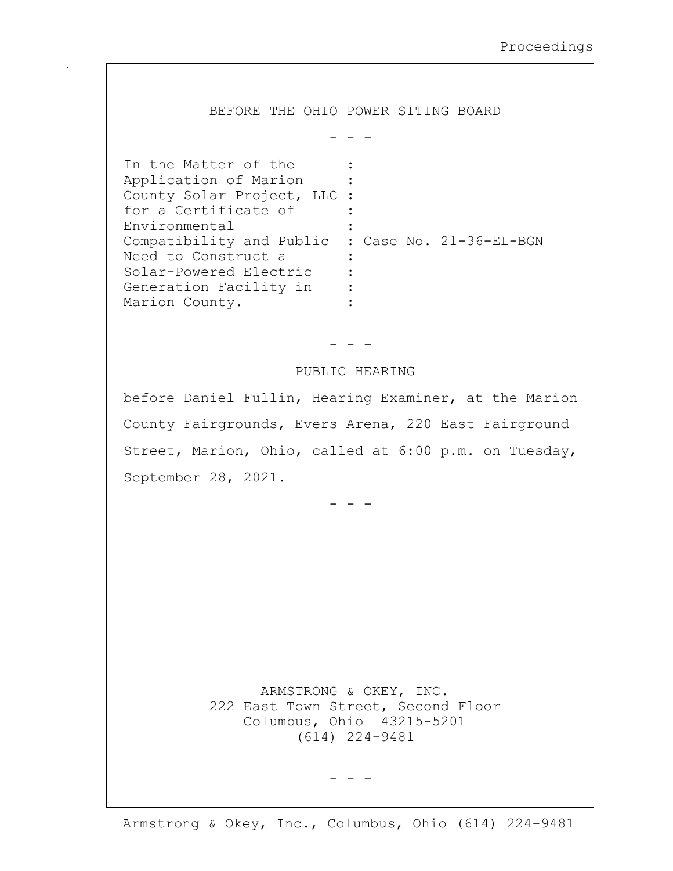## BEFORE THE OHIO POWER SITING BOARD

In the Matter of the Application of Marion : County Solar Project, LLC : for a Certificate of : Environmental : Compatibility and Public : Case No. 21-36-EL-BGN Need to Construct a : Solar-Powered Electric : Generation Facility in : Marion County. :

- - -

- - -

## PUBLIC HEARING

before Daniel Fullin, Hearing Examiner, at the Marion County Fairgrounds, Evers Arena, 220 East Fairground Street, Marion, Ohio, called at 6:00 p.m. on Tuesday, September 28, 2021.

- - -

 ARMSTRONG & OKEY, INC. 222 East Town Street, Second Floor Columbus, Ohio 43215-5201 (614) 224-9481

- - -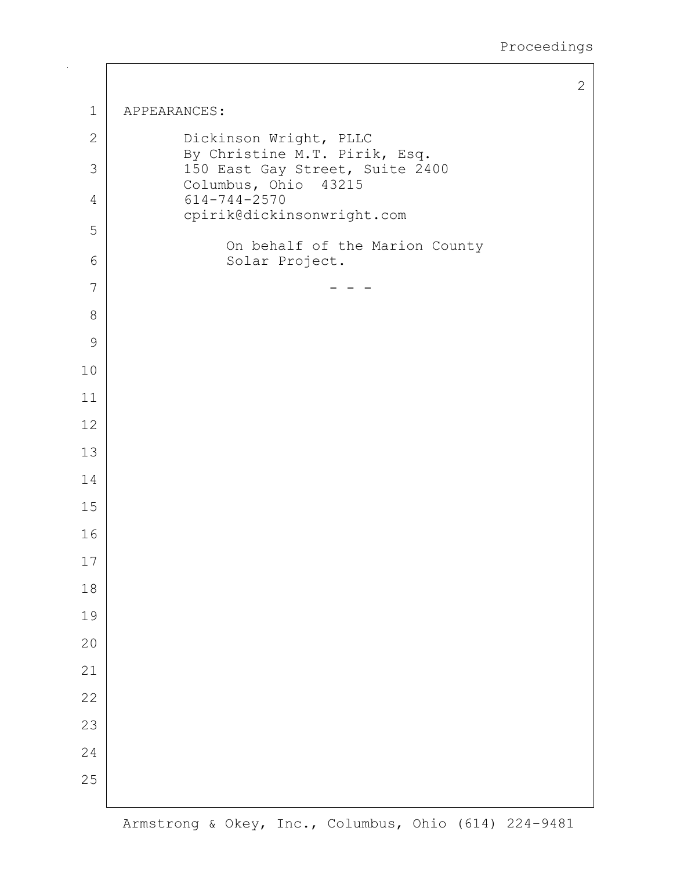| $\mathbf 1$    | APPEARANCES:                                                                             |
|----------------|------------------------------------------------------------------------------------------|
| $\mathbf{2}$   | Dickinson Wright, PLLC                                                                   |
| $\mathfrak{Z}$ | By Christine M.T. Pirik, Esq.<br>150 East Gay Street, Suite 2400<br>Columbus, Ohio 43215 |
| 4              | $614 - 744 - 2570$<br>cpirik@dickinsonwright.com                                         |
| 5              | On behalf of the Marion County                                                           |
| 6              | Solar Project.                                                                           |
| 7              |                                                                                          |
| $\,8\,$        |                                                                                          |
| $\mathsf 9$    |                                                                                          |
| 10             |                                                                                          |
| 11             |                                                                                          |
| 12             |                                                                                          |
| 13             |                                                                                          |
| 14             |                                                                                          |
| 15             |                                                                                          |
| 16             |                                                                                          |
| 17             |                                                                                          |
| $18\,$         |                                                                                          |
| 19             |                                                                                          |
| 20             |                                                                                          |
| 21             |                                                                                          |
| 22             |                                                                                          |
| 23             |                                                                                          |
| 24             |                                                                                          |
| 25             |                                                                                          |
|                |                                                                                          |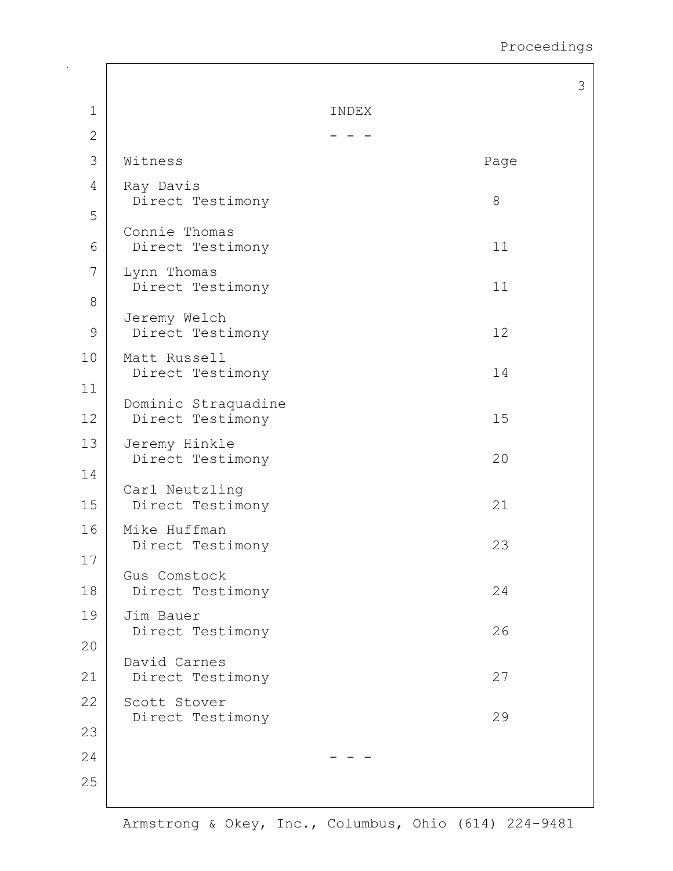|               |                                         |       |      | 3 |
|---------------|-----------------------------------------|-------|------|---|
| $\mathbf 1$   |                                         | INDEX |      |   |
| $\mathbf{2}$  |                                         |       |      |   |
| 3             | Witness                                 |       | Page |   |
| 4             | Ray Davis                               |       | 8    |   |
| 5             | Direct Testimony                        |       |      |   |
| 6             | Connie Thomas<br>Direct Testimony       |       | 11   |   |
| 7             | Lynn Thomas<br>Direct Testimony         |       | 11   |   |
| 8             |                                         |       |      |   |
| $\mathcal{G}$ | Jeremy Welch<br>Direct Testimony        |       | 12   |   |
| 10            | Matt Russell                            |       | 14   |   |
| 11            | Direct Testimony                        |       |      |   |
| 12            | Dominic Straquadine<br>Direct Testimony |       | 15   |   |
| 13<br>14      | Jeremy Hinkle<br>Direct Testimony       |       | 20   |   |
| 15            | Carl Neutzling<br>Direct Testimony      |       | 21   |   |
| 16            | Mike Huffman                            |       |      |   |
| 17            | Direct Testimony                        |       | 23   |   |
| 18            | Gus Comstock<br>Direct Testimony        |       | 24   |   |
| 19            | Jim Bauer                               |       | 26   |   |
| 20            | Direct Testimony                        |       |      |   |
| 21            | David Carnes<br>Direct Testimony        |       | 27   |   |
| 22            | Scott Stover<br>Direct Testimony        |       | 29   |   |
| 23            |                                         |       |      |   |
| 24            |                                         |       |      |   |
| 25            |                                         |       |      |   |

 $\sqrt{ }$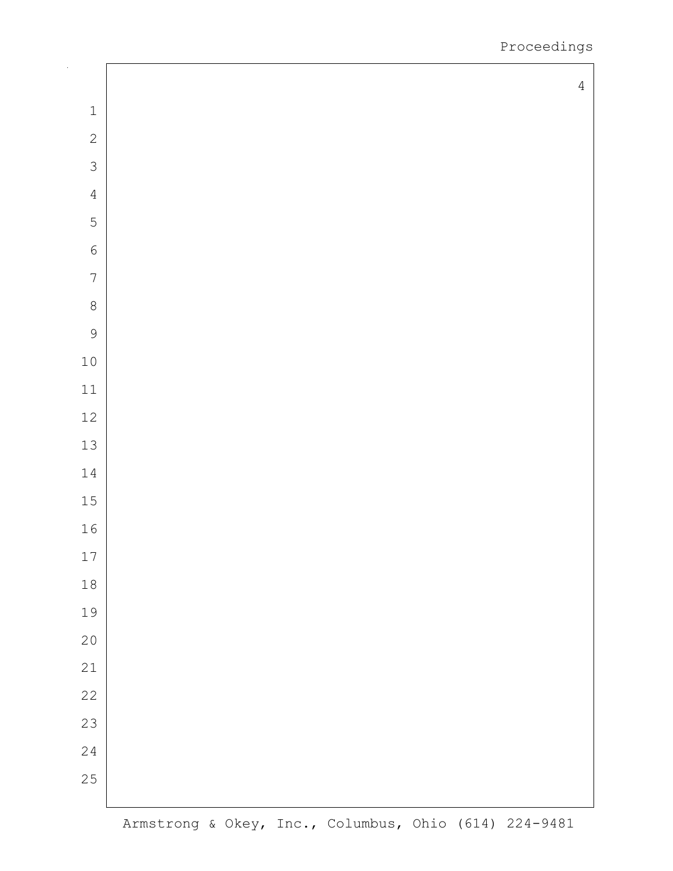|                                       | $\sqrt{4}$ |
|---------------------------------------|------------|
| $\mathbf{1}$                          |            |
| $\begin{array}{c} 2 \\ 3 \end{array}$ |            |
|                                       |            |
| $\frac{4}{5}$                         |            |
|                                       |            |
| $6\overline{6}$                       |            |
| $\overline{7}$                        |            |
|                                       |            |
| 8<br>9                                |            |
| $10$                                  |            |
| $11$                                  |            |
| $12\,$                                |            |
| 13                                    |            |
| $14$                                  |            |
| 15                                    |            |
| 16                                    |            |
| $17$                                  |            |
| $1\,8$                                |            |
| 19                                    |            |
| 20                                    |            |
| 21                                    |            |
| 22                                    |            |
| 23                                    |            |
| 24                                    |            |
| 25                                    |            |
|                                       |            |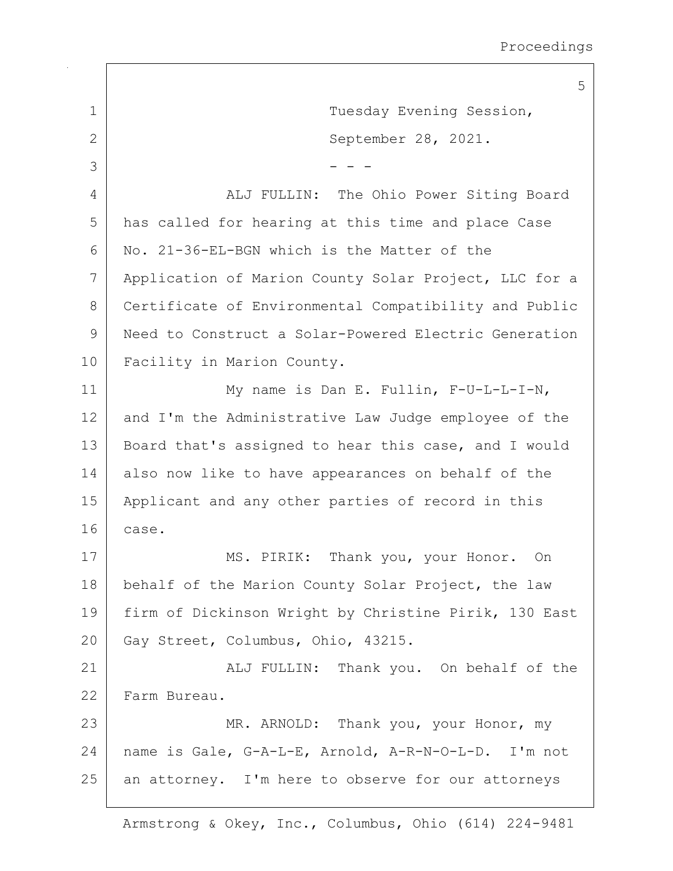5 1 Tuesday Evening Session, 2 September 28, 2021.  $3$   $-$  - -4 ALJ FULLIN: The Ohio Power Siting Board 5 has called for hearing at this time and place Case 6 No. 21-36-EL-BGN which is the Matter of the 7 Application of Marion County Solar Project, LLC for a 8 Certificate of Environmental Compatibility and Public 9 Need to Construct a Solar-Powered Electric Generation 10 Facility in Marion County. 11 | My name is Dan E. Fullin, F-U-L-L-I-N, 12 and I'm the Administrative Law Judge employee of the 13 | Board that's assigned to hear this case, and I would 14 also now like to have appearances on behalf of the 15 Applicant and any other parties of record in this 16 case. 17 MS. PIRIK: Thank you, your Honor. On 18 | behalf of the Marion County Solar Project, the law 19 | firm of Dickinson Wright by Christine Pirik, 130 East 20 Gay Street, Columbus, Ohio, 43215. 21 | ALJ FULLIN: Thank you. On behalf of the 22 Farm Bureau. 23 MR. ARNOLD: Thank you, your Honor, my 24 name is Gale, G-A-L-E, Arnold, A-R-N-O-L-D. I'm not  $25$  an attorney. I'm here to observe for our attorneys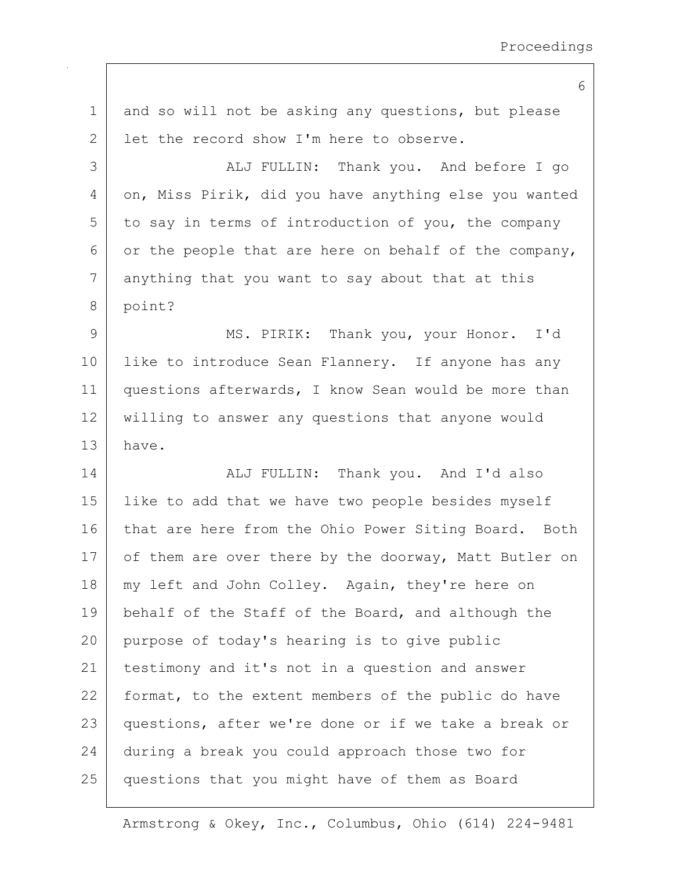1 and so will not be asking any questions, but please 2 let the record show I'm here to observe. 3 ALJ FULLIN: Thank you. And before I go 4 on, Miss Pirik, did you have anything else you wanted  $5$  to say in terms of introduction of you, the company 6 or the people that are here on behalf of the company, 7 anything that you want to say about that at this 8 point? 9 MS. PIRIK: Thank you, your Honor. I'd 10 | like to introduce Sean Flannery. If anyone has any 11 questions afterwards, I know Sean would be more than 12 willing to answer any questions that anyone would 13 have. 14 ALJ FULLIN: Thank you. And I'd also 15 like to add that we have two people besides myself 16 that are here from the Ohio Power Siting Board. Both 17 of them are over there by the doorway, Matt Butler on 18 | my left and John Colley. Again, they're here on 19 behalf of the Staff of the Board, and although the 20 purpose of today's hearing is to give public 21 testimony and it's not in a question and answer 22 format, to the extent members of the public do have 23 questions, after we're done or if we take a break or 24 during a break you could approach those two for 25 questions that you might have of them as Board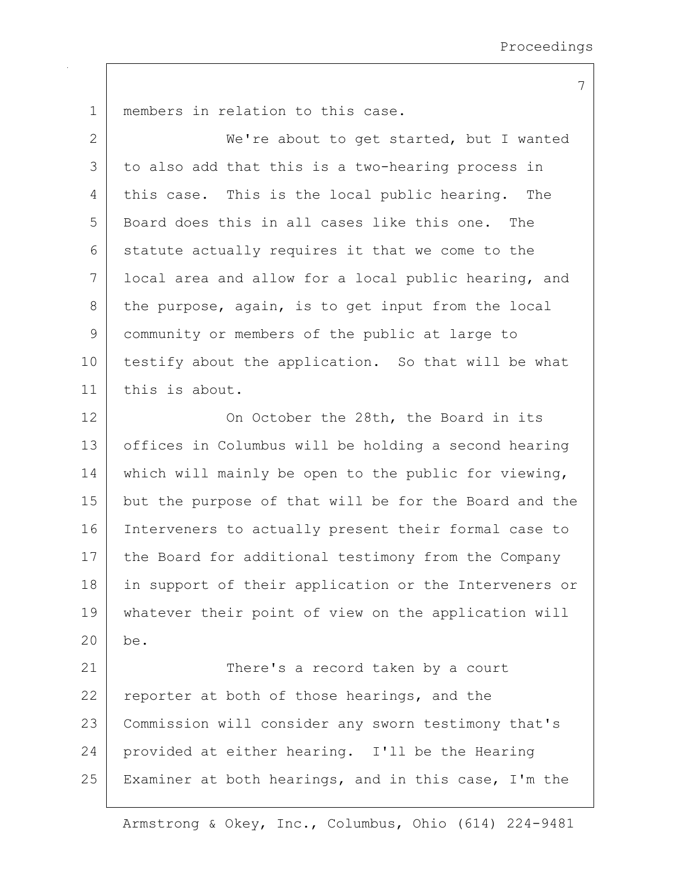1 | members in relation to this case.

| 2            | We're about to get started, but I wanted              |
|--------------|-------------------------------------------------------|
| 3            | to also add that this is a two-hearing process in     |
| 4            | this case. This is the local public hearing. The      |
| 5            | Board does this in all cases like this one.<br>The    |
| 6            | statute actually requires it that we come to the      |
| 7            | local area and allow for a local public hearing, and  |
| $8\,$        | the purpose, again, is to get input from the local    |
| $\mathsf{9}$ | community or members of the public at large to        |
| 10           | testify about the application. So that will be what   |
| 11           | this is about.                                        |
| 12           | On October the 28th, the Board in its                 |
| 13           | offices in Columbus will be holding a second hearing  |
| 14           | which will mainly be open to the public for viewing,  |
| 15           | but the purpose of that will be for the Board and the |
| 16           | Interveners to actually present their formal case to  |
| 17           | the Board for additional testimony from the Company   |
| 18           | in support of their application or the Interveners or |
| 19           | whatever their point of view on the application will  |
| 20           | be.                                                   |
| 21           | There's a record taken by a court                     |
| 22           | reporter at both of those hearings, and the           |
| 23           | Commission will consider any sworn testimony that's   |
| 24           | provided at either hearing. I'll be the Hearing       |
| 25           | Examiner at both hearings, and in this case, I'm the  |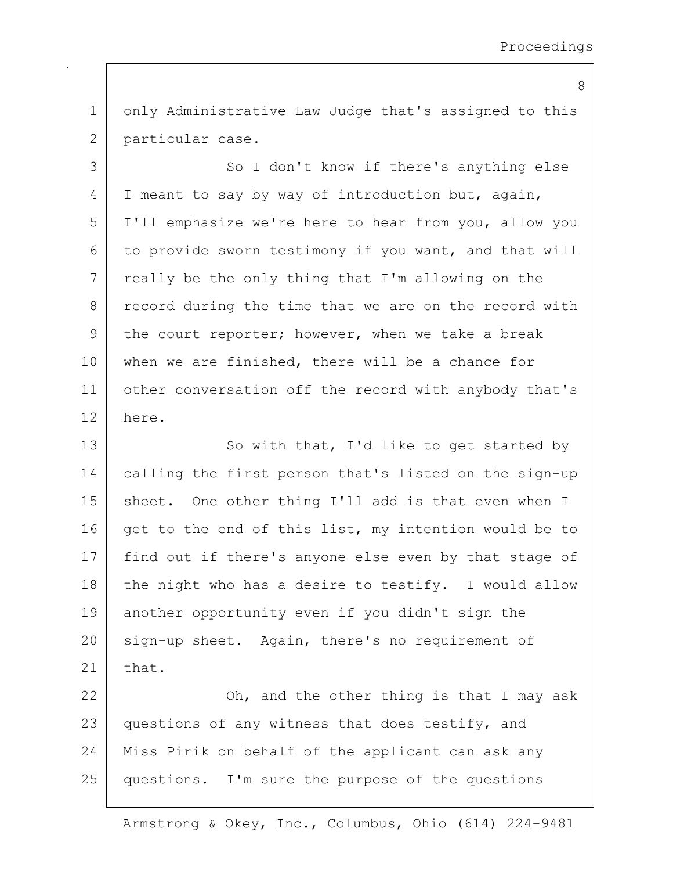1 only Administrative Law Judge that's assigned to this 2 | particular case.

3 | So I don't know if there's anything else 4 I meant to say by way of introduction but, again, 5 I'll emphasize we're here to hear from you, allow you 6 to provide sworn testimony if you want, and that will  $7$  really be the only thing that I'm allowing on the 8 record during the time that we are on the record with 9 the court reporter; however, when we take a break 10 when we are finished, there will be a chance for 11 | other conversation off the record with anybody that's 12 here.

13 So with that, I'd like to get started by 14 calling the first person that's listed on the sign-up 15 | sheet. One other thing I'll add is that even when I  $16$  get to the end of this list, my intention would be to 17 | find out if there's anyone else even by that stage of 18 the night who has a desire to testify. I would allow 19 another opportunity even if you didn't sign the 20 sign-up sheet. Again, there's no requirement of  $21$  that.

22 | Ch, and the other thing is that I may ask 23 questions of any witness that does testify, and 24 Miss Pirik on behalf of the applicant can ask any 25 questions. I'm sure the purpose of the questions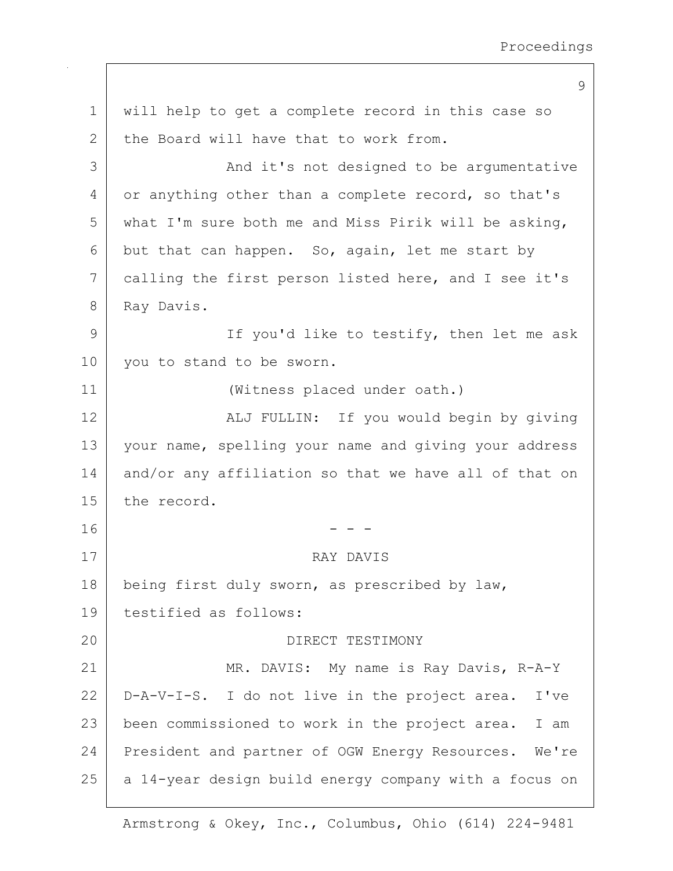9 1 | will help to get a complete record in this case so 2 the Board will have that to work from. 3 | And it's not designed to be argumentative 4 or anything other than a complete record, so that's 5 what I'm sure both me and Miss Pirik will be asking, 6 but that can happen. So, again, let me start by 7 calling the first person listed here, and I see it's 8 Ray Davis. 9 | The you'd like to testify, then let me ask 10 | you to stand to be sworn. 11 | (Witness placed under oath.) 12 | ALJ FULLIN: If you would begin by giving 13 | your name, spelling your name and giving your address 14 and/or any affiliation so that we have all of that on 15 the record.  $16$  - - -17 RAY DAVIS 18 | being first duly sworn, as prescribed by law, 19 testified as follows: 20 DIRECT TESTIMONY 21 MR. DAVIS: My name is Ray Davis, R-A-Y 22 D-A-V-I-S. I do not live in the project area. I've 23 | been commissioned to work in the project area. I am 24 President and partner of OGW Energy Resources. We're 25 a 14-year design build energy company with a focus on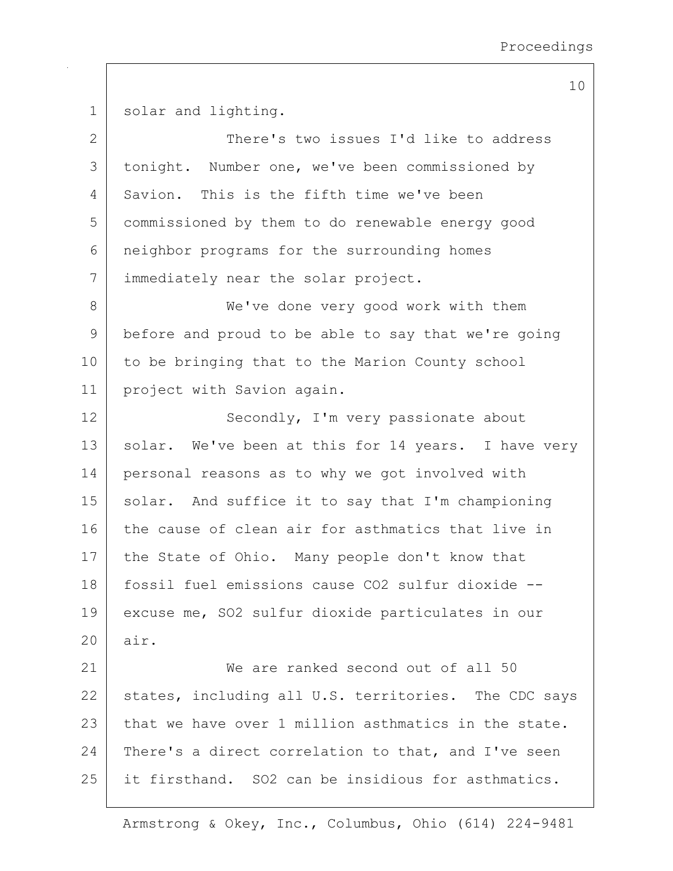1 solar and lighting. 2 There's two issues I'd like to address 3 | tonight. Number one, we've been commissioned by 4 Savion. This is the fifth time we've been 5 commissioned by them to do renewable energy good 6 neighbor programs for the surrounding homes 7 immediately near the solar project. 8 We've done very good work with them 9 before and proud to be able to say that we're going 10 to be bringing that to the Marion County school 11 project with Savion again. 12 Secondly, I'm very passionate about 13 | solar. We've been at this for 14 years. I have very 14 personal reasons as to why we got involved with 15 | solar. And suffice it to say that I'm championing 16 the cause of clean air for asthmatics that live in 17 | the State of Ohio. Many people don't know that 18 fossil fuel emissions cause CO2 sulfur dioxide -- 19 excuse me, SO2 sulfur dioxide particulates in our 20 air. 21 We are ranked second out of all 50 22 states, including all U.S. territories. The CDC says  $23$  that we have over 1 million asthmatics in the state. 24 There's a direct correlation to that, and I've seen 25 it firsthand. SO2 can be insidious for asthmatics.

Armstrong & Okey, Inc., Columbus, Ohio (614) 224-9481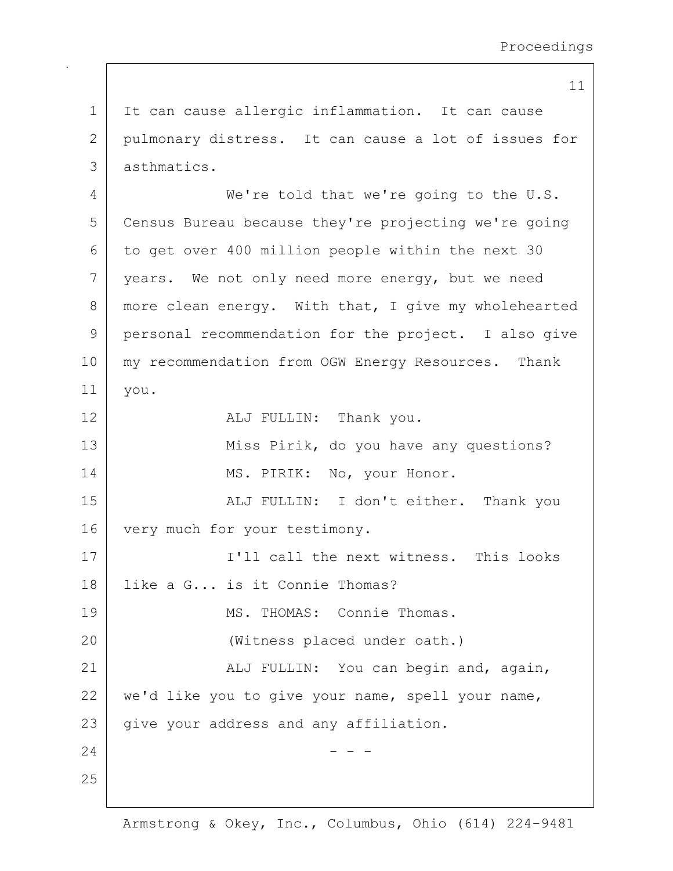11 1 It can cause allergic inflammation. It can cause 2 pulmonary distress. It can cause a lot of issues for 3 asthmatics. 4 We're told that we're going to the U.S. 5 Census Bureau because they're projecting we're going  $6$  to get over 400 million people within the next 30 7 years. We not only need more energy, but we need 8 more clean energy. With that, I give my wholehearted 9 personal recommendation for the project. I also give 10 | my recommendation from OGW Energy Resources. Thank 11 you. 12 ALJ FULLIN: Thank you. 13 Miss Pirik, do you have any questions? 14 MS. PIRIK: No, your Honor. 15 | ALJ FULLIN: I don't either. Thank you 16 very much for your testimony. 17 | T'll call the next witness. This looks 18 like a G... is it Connie Thomas? 19 | MS. THOMAS: Connie Thomas. 20 (Witness placed under oath.) 21 | ALJ FULLIN: You can begin and, again, 22 | we'd like you to give your name, spell your name, 23 give your address and any affiliation.  $24$  - - -25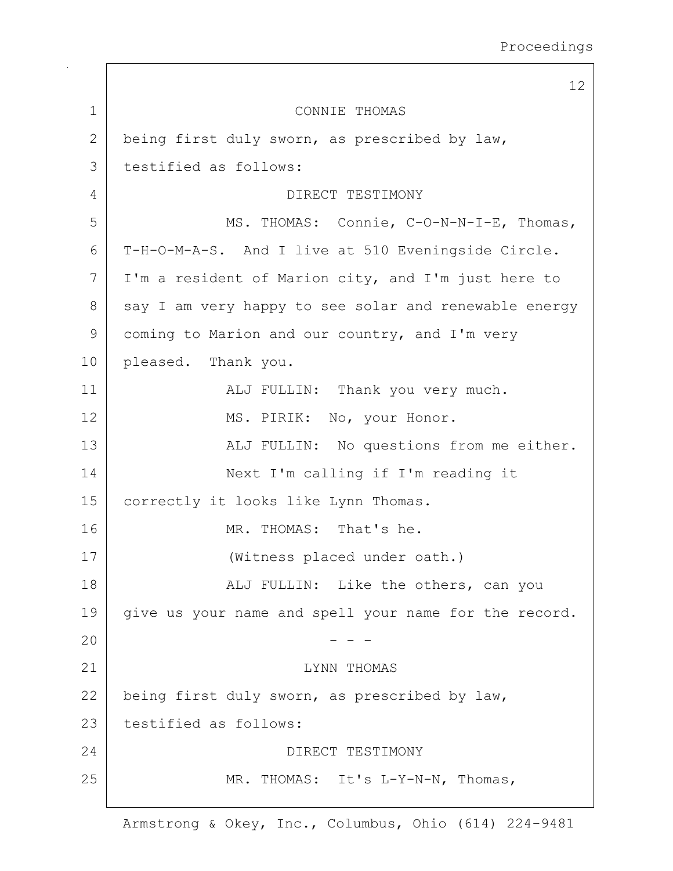12 1 CONNIE THOMAS 2 being first duly sworn, as prescribed by law, 3 | testified as follows: 4 DIRECT TESTIMONY 5 | MS. THOMAS: Connie, C-O-N-N-I-E, Thomas, 6 T-H-O-M-A-S. And I live at 510 Eveningside Circle. 7 I'm a resident of Marion city, and I'm just here to  $8$  say I am very happy to see solar and renewable energy 9 coming to Marion and our country, and I'm very 10 | pleased. Thank you. 11 | ALJ FULLIN: Thank you very much. 12 | MS. PIRIK: No, your Honor. 13 | ALJ FULLIN: No questions from me either. 14 Next I'm calling if I'm reading it 15 correctly it looks like Lynn Thomas. 16 MR. THOMAS: That's he. 17 | (Witness placed under oath.) 18 | ALJ FULLIN: Like the others, can you 19 give us your name and spell your name for the record. 20  $-$  - -21 LETTER THOMAS 22 being first duly sworn, as prescribed by law, 23 | testified as follows: 24 DIRECT TESTIMONY 25 MR. THOMAS: It's L-Y-N-N, Thomas,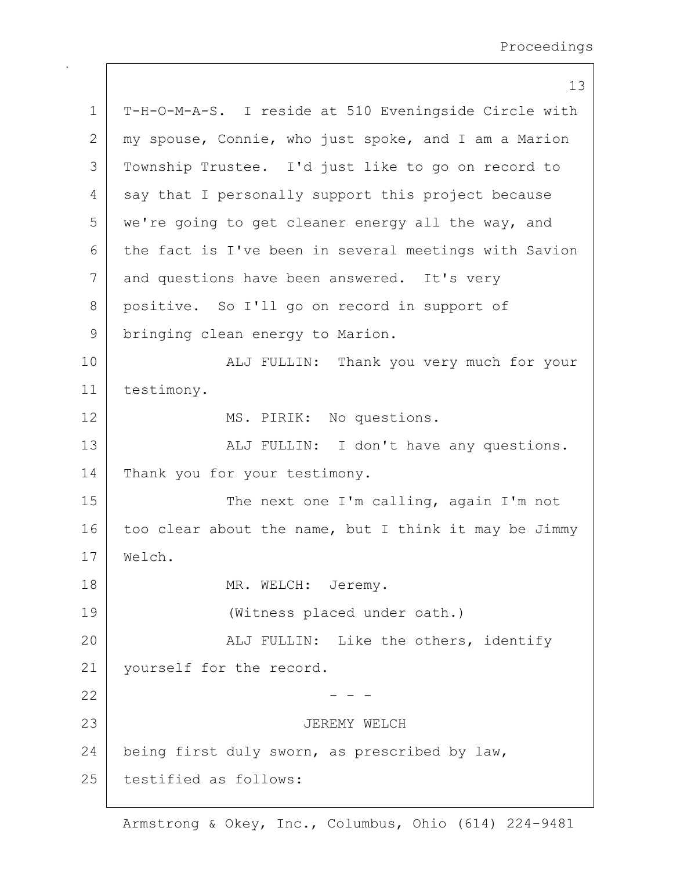|             | 13                                                    |
|-------------|-------------------------------------------------------|
| $\mathbf 1$ | T-H-O-M-A-S. I reside at 510 Eveningside Circle with  |
| 2           | my spouse, Connie, who just spoke, and I am a Marion  |
| 3           | Township Trustee. I'd just like to go on record to    |
| 4           | say that I personally support this project because    |
| 5           | we're going to get cleaner energy all the way, and    |
| 6           | the fact is I've been in several meetings with Savion |
| 7           | and questions have been answered. It's very           |
| 8           | positive. So I'll go on record in support of          |
| $\mathsf 9$ | bringing clean energy to Marion.                      |
| 10          | ALJ FULLIN: Thank you very much for your              |
| 11          | testimony.                                            |
| 12          | MS. PIRIK: No questions.                              |
| 13          | ALJ FULLIN: I don't have any questions.               |
| 14          | Thank you for your testimony.                         |
| 15          | The next one I'm calling, again I'm not               |
| 16          | too clear about the name, but I think it may be Jimmy |
| 17          | Welch.                                                |
| 18          | MR. WELCH: Jeremy.                                    |
| 19          | (Witness placed under oath.)                          |
| 20          | ALJ FULLIN: Like the others, identify                 |
| 21          | yourself for the record.                              |
| 22          |                                                       |
| 23          | JEREMY WELCH                                          |
| 24          | being first duly sworn, as prescribed by law,         |
| 25          | testified as follows:                                 |
|             |                                                       |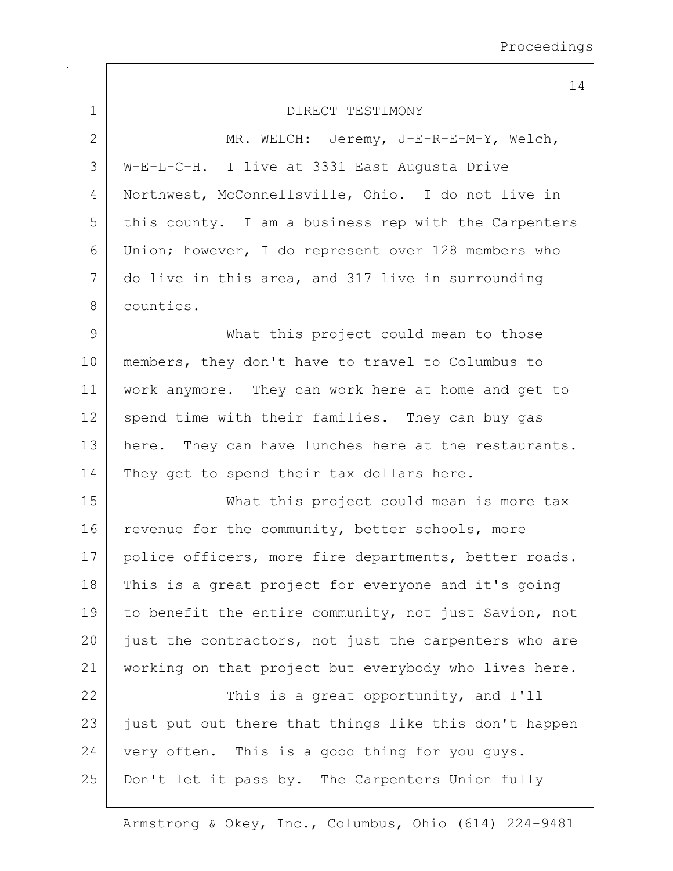14 1 DIRECT TESTIMONY 2 | MR. WELCH: Jeremy, J-E-R-E-M-Y, Welch, 3 W-E-L-C-H. I live at 3331 East Augusta Drive 4 Northwest, McConnellsville, Ohio. I do not live in  $5$  this county. I am a business rep with the Carpenters 6 Union; however, I do represent over 128 members who 7 do live in this area, and 317 live in surrounding 8 counties. 9 What this project could mean to those 10 members, they don't have to travel to Columbus to 11 work anymore. They can work here at home and get to 12 spend time with their families. They can buy gas 13 | here. They can have lunches here at the restaurants. 14 They get to spend their tax dollars here. 15 What this project could mean is more tax 16 revenue for the community, better schools, more 17 police officers, more fire departments, better roads. 18 This is a great project for everyone and it's going 19 to benefit the entire community, not just Savion, not  $20$  just the contractors, not just the carpenters who are 21 | working on that project but everybody who lives here. 22 This is a great opportunity, and I'll 23 just put out there that things like this don't happen 24 very often. This is a good thing for you guys. 25 | Don't let it pass by. The Carpenters Union fully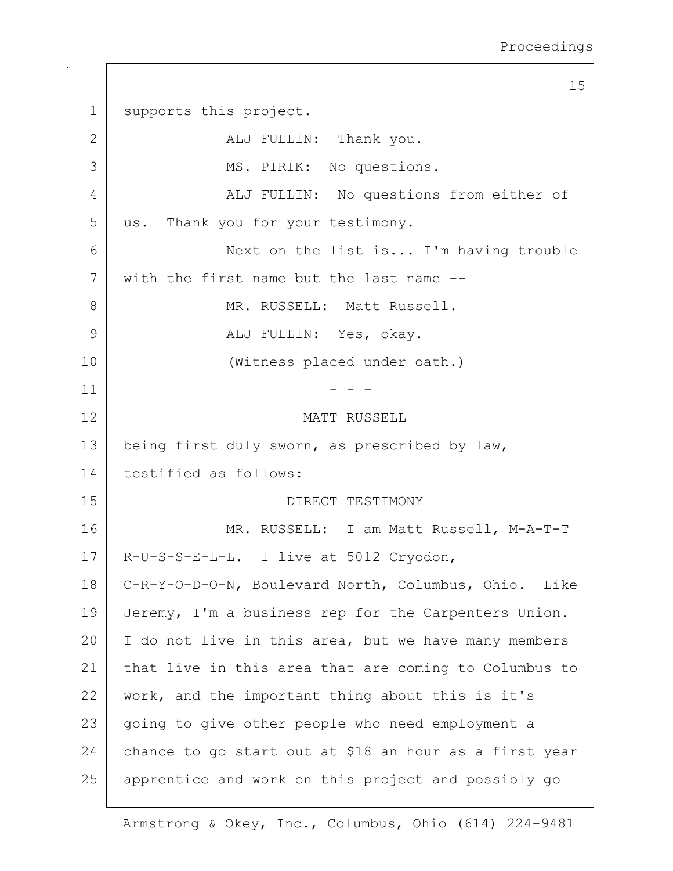15 1 supports this project. 2 ALJ FULLIN: Thank you. 3 | MS. PIRIK: No questions. 4 ALJ FULLIN: No questions from either of 5 | us. Thank you for your testimony. 6 Next on the list is... I'm having trouble  $7$  with the first name but the last name  $-$ 8 MR. RUSSELL: Matt Russell. 9 ALJ FULLIN: Yes, okay. 10 | (Witness placed under oath.)  $11$  - - -12 MATT RUSSELL 13 | being first duly sworn, as prescribed by law, 14 testified as follows: 15 DIRECT TESTIMONY 16 MR. RUSSELL: I am Matt Russell, M-A-T-T  $17$  R-U-S-S-E-L-L. I live at 5012 Cryodon, 18 C-R-Y-O-D-O-N, Boulevard North, Columbus, Ohio. Like 19 Jeremy, I'm a business rep for the Carpenters Union.  $20$  I do not live in this area, but we have many members 21 that live in this area that are coming to Columbus to 22 work, and the important thing about this is it's 23 | going to give other people who need employment a 24 chance to go start out at \$18 an hour as a first year 25 | apprentice and work on this project and possibly go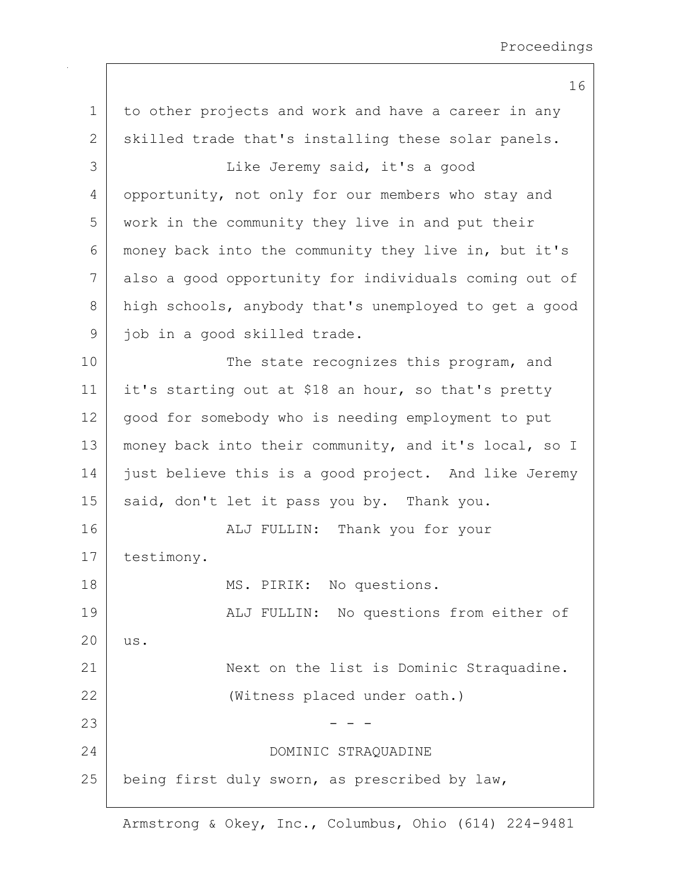1 to other projects and work and have a career in any 2 skilled trade that's installing these solar panels. 3 | Like Jeremy said, it's a good 4 opportunity, not only for our members who stay and 5 work in the community they live in and put their 6 money back into the community they live in, but it's 7 also a good opportunity for individuals coming out of 8 high schools, anybody that's unemployed to get a good 9 job in a good skilled trade. 10 The state recognizes this program, and 11 | it's starting out at \$18 an hour, so that's pretty 12 good for somebody who is needing employment to put 13 | money back into their community, and it's local, so I 14 just believe this is a good project. And like Jeremy 15 | said, don't let it pass you by. Thank you. 16 | THE REALLY FULLIN: Thank you for your 17 testimony. 18 MS. PIRIK: No questions. 19 | ALJ FULLIN: No questions from either of 20 us. 21 Next on the list is Dominic Straquadine. 22 (Witness placed under oath.)  $23$  - - -24 DOMINIC STRAQUADINE 25 being first duly sworn, as prescribed by law,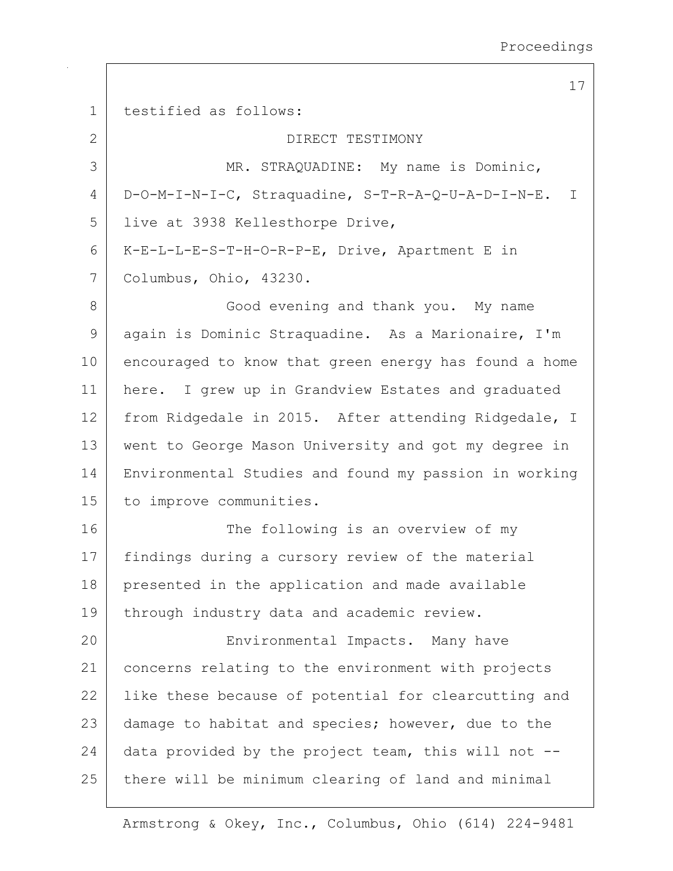17 1 testified as follows: 2 DIRECT TESTIMONY 3 | MR. STRAQUADINE: My name is Dominic, 4 D-O-M-I-N-I-C, Straquadine, S-T-R-A-Q-U-A-D-I-N-E. I 5 | live at 3938 Kellesthorpe Drive, 6 K-E-L-L-E-S-T-H-O-R-P-E, Drive, Apartment E in 7 Columbus, Ohio, 43230. 8 Sood evening and thank you. My name 9 | again is Dominic Straquadine. As a Marionaire, I'm 10 encouraged to know that green energy has found a home 11 | here. I grew up in Grandview Estates and graduated 12 | from Ridgedale in 2015. After attending Ridgedale, I 13 went to George Mason University and got my degree in 14 Environmental Studies and found my passion in working 15 | to improve communities. 16 The following is an overview of my 17 findings during a cursory review of the material 18 presented in the application and made available 19 | through industry data and academic review. 20 | Environmental Impacts. Many have 21 concerns relating to the environment with projects 22 | like these because of potential for clearcutting and 23 damage to habitat and species; however, due to the 24 data provided by the project team, this will not  $-$ 25 there will be minimum clearing of land and minimal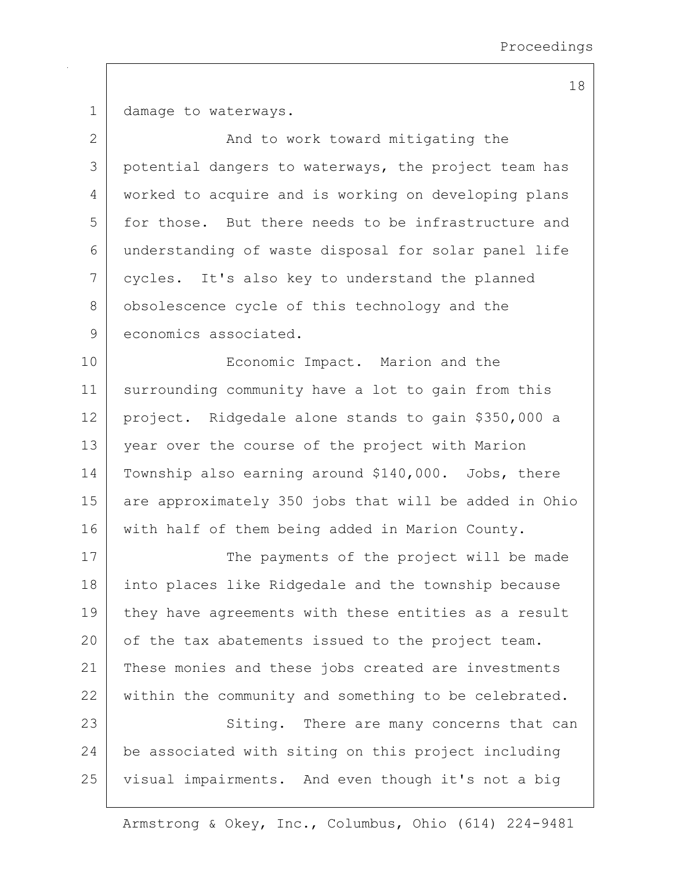1 damage to waterways.

| $\overline{2}$ | And to work toward mitigating the                     |
|----------------|-------------------------------------------------------|
| 3              | potential dangers to waterways, the project team has  |
| 4              | worked to acquire and is working on developing plans  |
| 5              | for those. But there needs to be infrastructure and   |
| 6              | understanding of waste disposal for solar panel life  |
| 7              | cycles. It's also key to understand the planned       |
| $8\,$          | obsolescence cycle of this technology and the         |
| $\mathsf 9$    | economics associated.                                 |
| 10             | Economic Impact. Marion and the                       |
| 11             | surrounding community have a lot to gain from this    |
| 12             | project. Ridgedale alone stands to gain \$350,000 a   |
| 13             | year over the course of the project with Marion       |
| 14             | Township also earning around \$140,000. Jobs, there   |
| 15             | are approximately 350 jobs that will be added in Ohio |
| 16             | with half of them being added in Marion County.       |
| 17             | The payments of the project will be made              |
| 18             | into places like Ridgedale and the township because   |
| 19             | they have agreements with these entities as a result  |
| 20             | of the tax abatements issued to the project team.     |
| 21             | These monies and these jobs created are investments   |
| 22             | within the community and something to be celebrated.  |
| 23             | Siting. There are many concerns that can              |
| 24             | be associated with siting on this project including   |
| 25             | visual impairments. And even though it's not a big    |
|                |                                                       |

Armstrong & Okey, Inc., Columbus, Ohio (614) 224-9481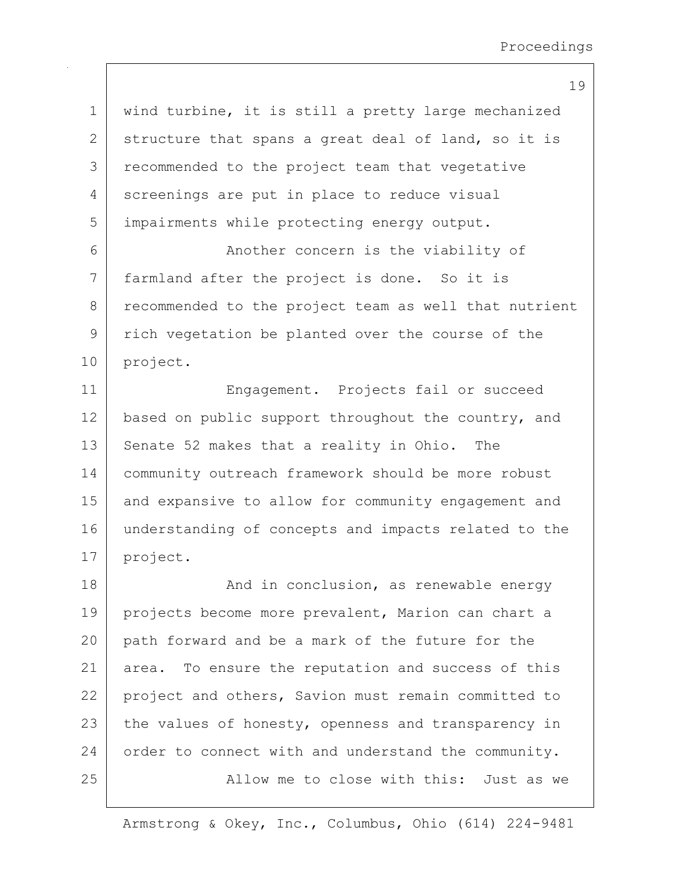1 | wind turbine, it is still a pretty large mechanized 2 structure that spans a great deal of land, so it is 3 recommended to the project team that vegetative 4 screenings are put in place to reduce visual 5 impairments while protecting energy output.

6 | Another concern is the viability of 7 farmland after the project is done. So it is 8 recommended to the project team as well that nutrient 9 rich vegetation be planted over the course of the 10 project.

11 Engagement. Projects fail or succeed 12 based on public support throughout the country, and 13 Senate 52 makes that a reality in Ohio. The 14 | community outreach framework should be more robust 15 and expansive to allow for community engagement and 16 understanding of concepts and impacts related to the 17 | project.

18 | The Mand in conclusion, as renewable energy 19 projects become more prevalent, Marion can chart a 20 path forward and be a mark of the future for the 21 area. To ensure the reputation and success of this 22 project and others, Savion must remain committed to  $23$  the values of honesty, openness and transparency in 24 order to connect with and understand the community. 25 Allow me to close with this: Just as we

Armstrong & Okey, Inc., Columbus, Ohio (614) 224-9481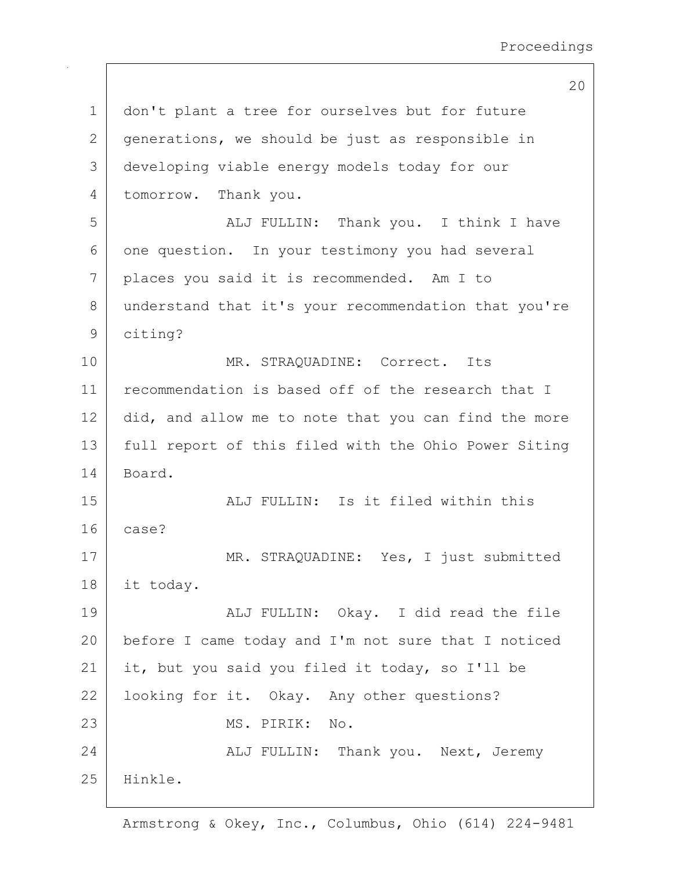1 don't plant a tree for ourselves but for future 2 generations, we should be just as responsible in 3 developing viable energy models today for our 4 tomorrow. Thank you. 5 | ALJ FULLIN: Thank you. I think I have 6 one question. In your testimony you had several 7 places you said it is recommended. Am I to 8 understand that it's your recommendation that you're 9 citing? 10 MR. STRAQUADINE: Correct. Its 11 recommendation is based off of the research that I 12 did, and allow me to note that you can find the more 13 | full report of this filed with the Ohio Power Siting 14 Board. 15 ALJ FULLIN: Is it filed within this  $16$  case? 17 | MR. STRAQUADINE: Yes, I just submitted 18 it today. 19 | ALJ FULLIN: Okay. I did read the file 20 before I came today and I'm not sure that I noticed 21 it, but you said you filed it today, so I'll be 22 | looking for it. Okay. Any other questions? 23 MS. PIRIK: No. 24 ALJ FULLIN: Thank you. Next, Jeremy 25 Hinkle.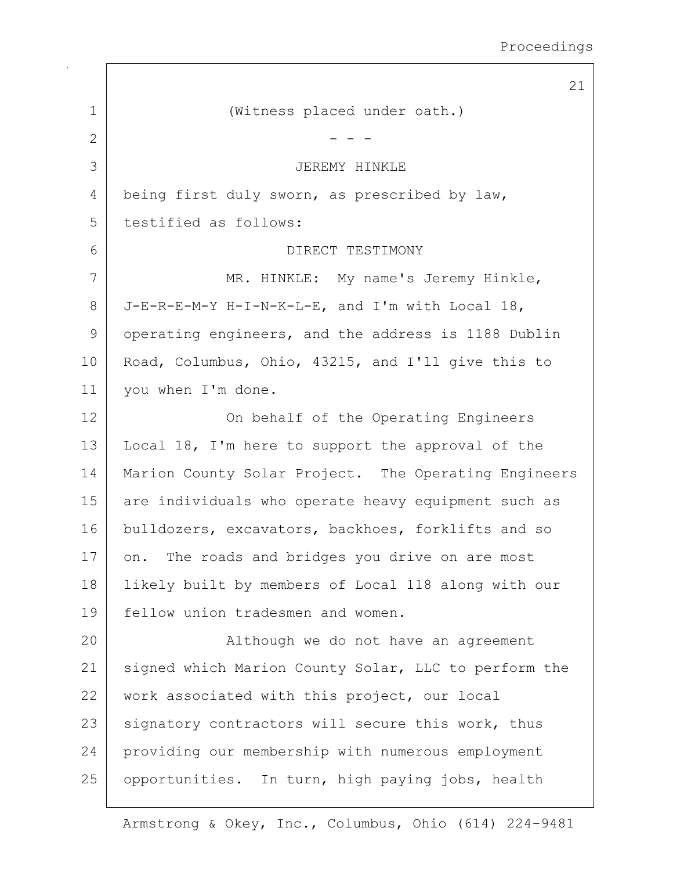|               | 21                                                   |
|---------------|------------------------------------------------------|
| 1             | (Witness placed under oath.)                         |
| $\mathbf{2}$  |                                                      |
| 3             | JEREMY HINKLE                                        |
| 4             | being first duly sworn, as prescribed by law,        |
| 5             | testified as follows:                                |
| 6             | DIRECT TESTIMONY                                     |
| 7             | MR. HINKLE: My name's Jeremy Hinkle,                 |
| 8             | J-E-R-E-M-Y H-I-N-K-L-E, and I'm with Local 18,      |
| $\mathcal{G}$ | operating engineers, and the address is 1188 Dublin  |
| 10            | Road, Columbus, Ohio, 43215, and I'll give this to   |
| 11            | you when I'm done.                                   |
| 12            | On behalf of the Operating Engineers                 |
| 13            | Local 18, I'm here to support the approval of the    |
| 14            | Marion County Solar Project. The Operating Engineers |
| 15            | are individuals who operate heavy equipment such as  |
| 16            | bulldozers, excavators, backhoes, forklifts and so   |
| 17            | The roads and bridges you drive on are most<br>on.   |
| 18            | likely built by members of Local 118 along with our  |
| 19            | fellow union tradesmen and women.                    |
| 20            | Although we do not have an agreement                 |
| 21            | signed which Marion County Solar, LLC to perform the |
| 22            | work associated with this project, our local         |
| 23            | signatory contractors will secure this work, thus    |
| 24            | providing our membership with numerous employment    |
| 25            | opportunities. In turn, high paying jobs, health     |
|               |                                                      |

 $\mathbf{I}$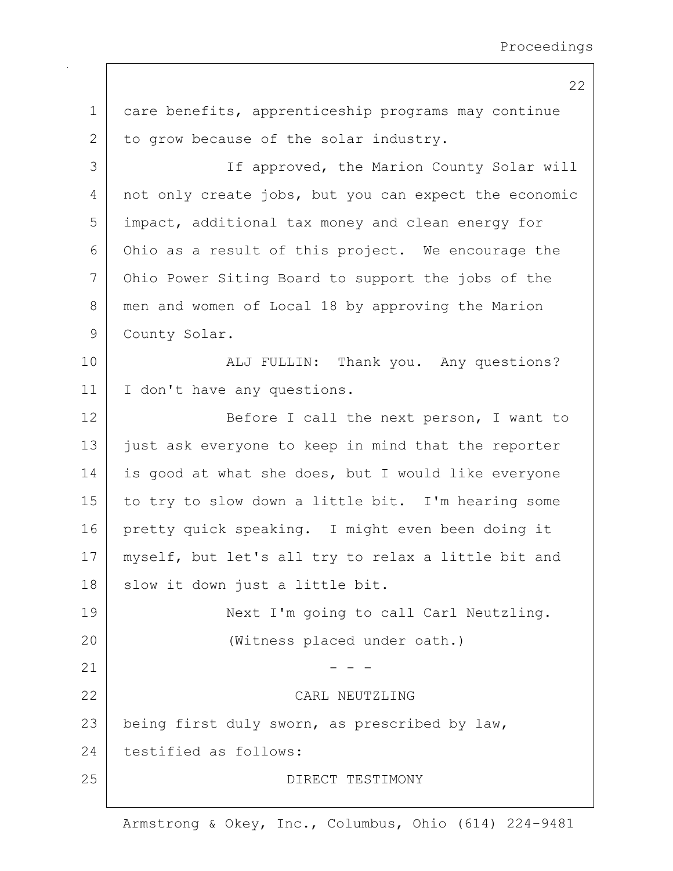1 care benefits, apprenticeship programs may continue 2 to grow because of the solar industry. 3 If approved, the Marion County Solar will 4 | not only create jobs, but you can expect the economic 5 impact, additional tax money and clean energy for 6 Ohio as a result of this project. We encourage the 7 Ohio Power Siting Board to support the jobs of the 8 men and women of Local 18 by approving the Marion 9 County Solar. 10 | THE REALLY RESERVIES AND REALLY READ ALLY THANK YOU. Any questions? 11 I don't have any questions. 12 Before I call the next person, I want to 13 just ask everyone to keep in mind that the reporter 14 is good at what she does, but I would like everyone 15 to try to slow down a little bit. I'm hearing some 16 pretty quick speaking. I might even been doing it 17 | myself, but let's all try to relax a little bit and 18 | slow it down just a little bit. 19 Next I'm going to call Carl Neutzling. 20 (Witness placed under oath.) 21  $- - -$ 22 CARL NEUTZLING 23 | being first duly sworn, as prescribed by law, 24 testified as follows: 25 September 25 September 25 September 25 September 25 September 25 September 25 September 25 September 26 September 26 September 26 September 26 September 26 September 26 September 26 September 26 September 26 September 2

Armstrong & Okey, Inc., Columbus, Ohio (614) 224-9481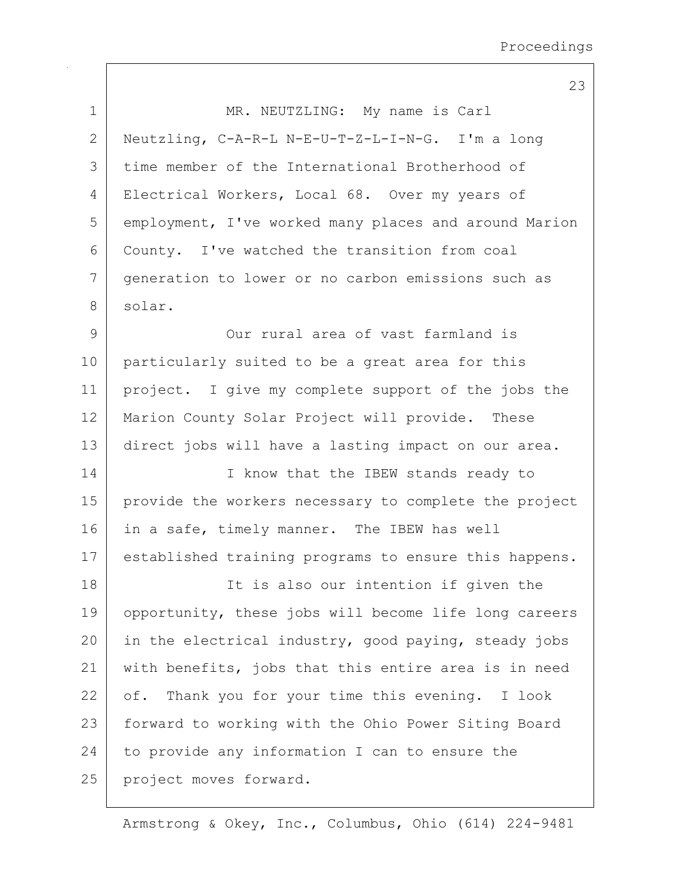| $\mathbf 1$ | MR. NEUTZLING: My name is Carl                        |
|-------------|-------------------------------------------------------|
| 2           | Neutzling, C-A-R-L N-E-U-T-Z-L-I-N-G. I'm a long      |
| 3           | time member of the International Brotherhood of       |
| 4           | Electrical Workers, Local 68. Over my years of        |
| 5           | employment, I've worked many places and around Marion |
| 6           | County. I've watched the transition from coal         |
| 7           | generation to lower or no carbon emissions such as    |
| 8           | solar.                                                |
| 9           | Our rural area of vast farmland is                    |
| 10          | particularly suited to be a great area for this       |
| 11          | project. I give my complete support of the jobs the   |
| 12          | Marion County Solar Project will provide. These       |
| 13          | direct jobs will have a lasting impact on our area.   |
| 14          | I know that the IBEW stands ready to                  |
| 15          | provide the workers necessary to complete the project |
| 16          | in a safe, timely manner. The IBEW has well           |
| 17          | established training programs to ensure this happens. |
| 18          | It is also our intention if given the                 |
| 19          | opportunity, these jobs will become life long careers |
| 20          | in the electrical industry, good paying, steady jobs  |
| 21          | with benefits, jobs that this entire area is in need  |
| 22          | Thank you for your time this evening. I look<br>of.   |
| 23          | forward to working with the Ohio Power Siting Board   |
| 24          | to provide any information I can to ensure the        |
| 25          | project moves forward.                                |
|             |                                                       |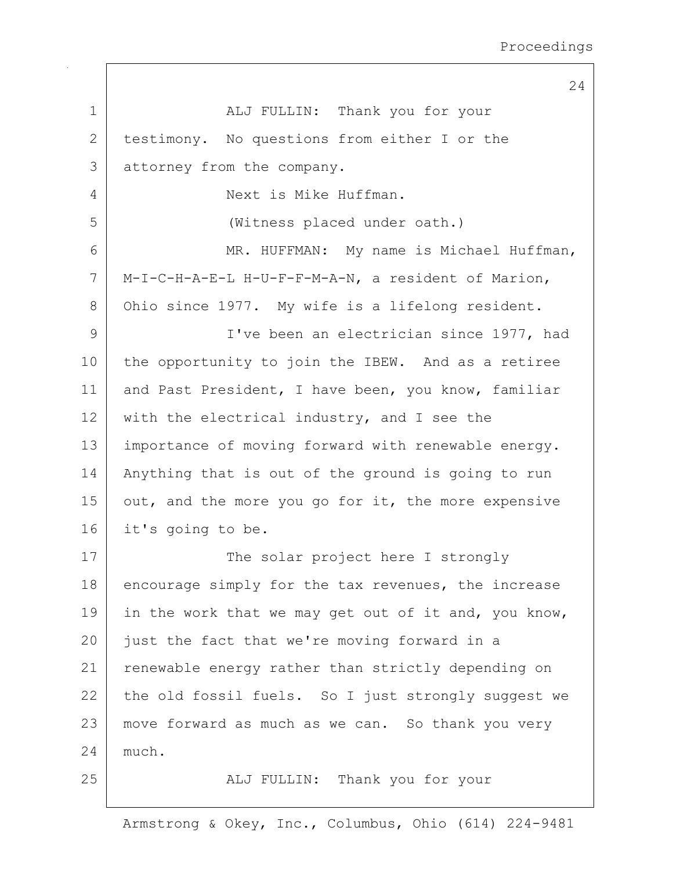| 1              | ALJ FULLIN: Thank you for your                       |
|----------------|------------------------------------------------------|
| $\overline{2}$ | testimony. No questions from either I or the         |
| 3              | attorney from the company.                           |
| 4              | Next is Mike Huffman.                                |
| 5              | (Witness placed under oath.)                         |
| 6              | MR. HUFFMAN: My name is Michael Huffman,             |
| 7              | M-I-C-H-A-E-L H-U-F-F-M-A-N, a resident of Marion,   |
| 8              | Ohio since 1977. My wife is a lifelong resident.     |
| 9              | I've been an electrician since 1977, had             |
| 10             | the opportunity to join the IBEW. And as a retiree   |
| 11             | and Past President, I have been, you know, familiar  |
| 12             | with the electrical industry, and I see the          |
| 13             | importance of moving forward with renewable energy.  |
| 14             | Anything that is out of the ground is going to run   |
| 15             | out, and the more you go for it, the more expensive  |
| 16             | it's going to be.                                    |
| 17             | The solar project here I strongly                    |
| 18             | encourage simply for the tax revenues, the increase  |
| 19             | in the work that we may get out of it and, you know, |
| 20             | just the fact that we're moving forward in a         |
| 21             | renewable energy rather than strictly depending on   |
| 22             | the old fossil fuels. So I just strongly suggest we  |
| 23             | move forward as much as we can. So thank you very    |
| 24             | much.                                                |
| 25             | ALJ FULLIN: Thank you for your                       |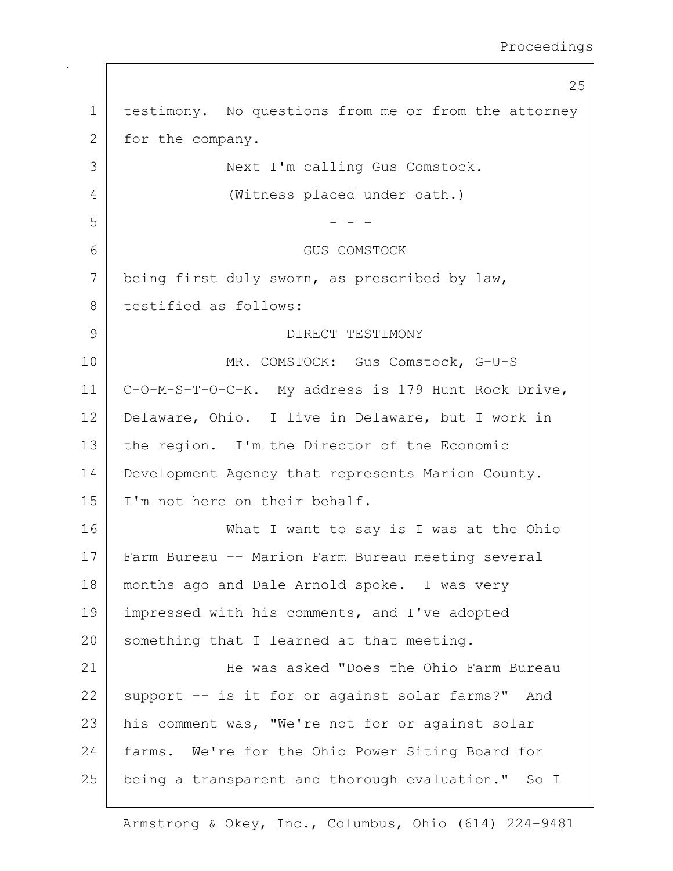25 1 | testimony. No questions from me or from the attorney 2 for the company. 3 Next I'm calling Gus Comstock. 4 Witness placed under oath.)  $5$   $-$  -  $-$ 6 GUS COMSTOCK 7 being first duly sworn, as prescribed by law, 8 testified as follows: 9 DIRECT TESTIMONY 10 MR. COMSTOCK: Gus Comstock, G-U-S 11 C-O-M-S-T-O-C-K. My address is 179 Hunt Rock Drive, 12 Delaware, Ohio. I live in Delaware, but I work in 13 | the region. I'm the Director of the Economic 14 Development Agency that represents Marion County. 15 I'm not here on their behalf. 16 What I want to say is I was at the Ohio 17 Farm Bureau -- Marion Farm Bureau meeting several 18 | months ago and Dale Arnold spoke. I was very 19 | impressed with his comments, and I've adopted 20 something that I learned at that meeting. 21 He was asked "Does the Ohio Farm Bureau 22 support -- is it for or against solar farms?" And 23 | his comment was, "We're not for or against solar 24 farms. We're for the Ohio Power Siting Board for 25 | being a transparent and thorough evaluation." So I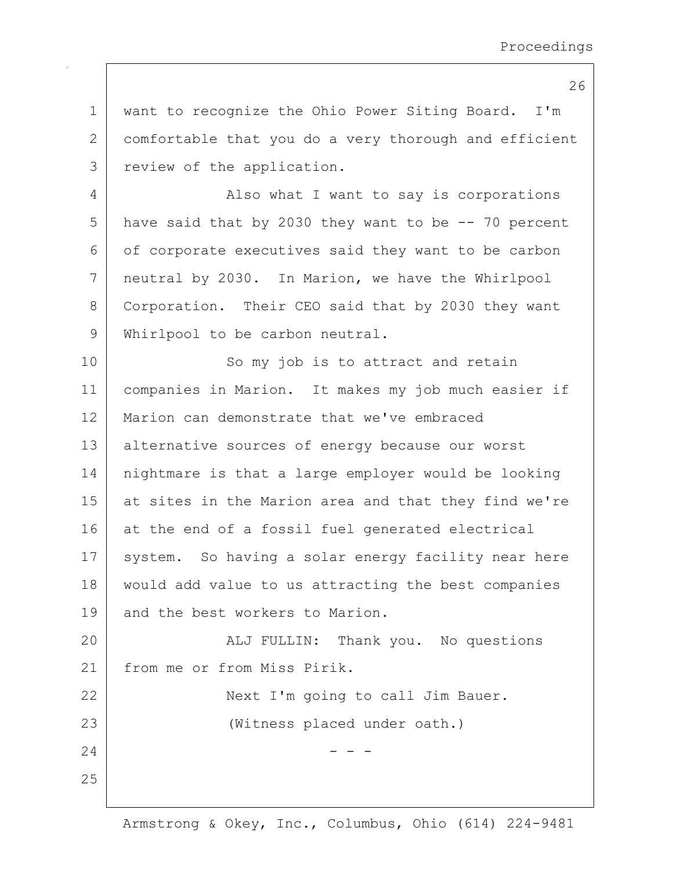1 want to recognize the Ohio Power Siting Board. I'm 2 comfortable that you do a very thorough and efficient 3 | review of the application.

4 Also what I want to say is corporations  $5$  have said that by 2030 they want to be  $-$ - 70 percent 6 of corporate executives said they want to be carbon 7 neutral by 2030. In Marion, we have the Whirlpool 8 Corporation. Their CEO said that by 2030 they want 9 Whirlpool to be carbon neutral.

10 So my job is to attract and retain 11 companies in Marion. It makes my job much easier if 12 Marion can demonstrate that we've embraced 13 alternative sources of energy because our worst 14 nightmare is that a large employer would be looking 15 at sites in the Marion area and that they find we're 16 at the end of a fossil fuel generated electrical 17 system. So having a solar energy facility near here 18 would add value to us attracting the best companies 19 and the best workers to Marion. 20 | ALJ FULLIN: Thank you. No questions 21 from me or from Miss Pirik. 22 Next I'm going to call Jim Bauer. 23 (Witness placed under oath.)  $24$  - - -25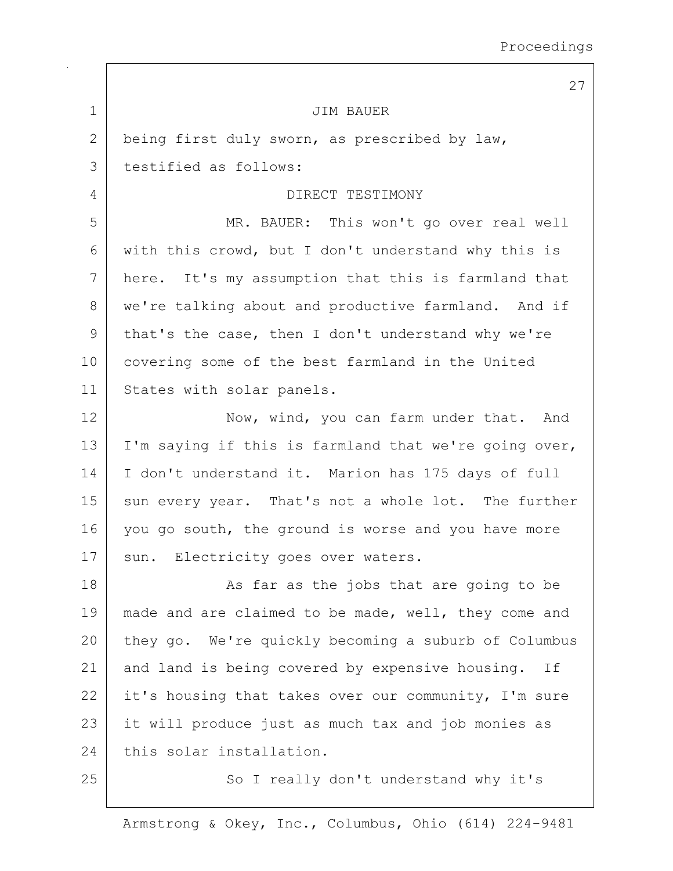27 1 JIM BAUER 2 being first duly sworn, as prescribed by law, 3 | testified as follows: 4 DIRECT TESTIMONY 5 MR. BAUER: This won't go over real well 6 with this crowd, but I don't understand why this is 7 here. It's my assumption that this is farmland that 8 | we're talking about and productive farmland. And if 9 | that's the case, then I don't understand why we're 10 covering some of the best farmland in the United 11 | States with solar panels. 12 Now, wind, you can farm under that. And 13 | I'm saying if this is farmland that we're going over, 14 | I don't understand it. Marion has 175 days of full 15 sun every year. That's not a whole lot. The further 16 you go south, the ground is worse and you have more 17 | sun. Electricity goes over waters. 18 | Referred as the jobs that are going to be 19 | made and are claimed to be made, well, they come and 20 they go. We're quickly becoming a suburb of Columbus 21 and land is being covered by expensive housing. If 22 it's housing that takes over our community, I'm sure 23 it will produce just as much tax and job monies as 24 this solar installation. 25 | So I really don't understand why it's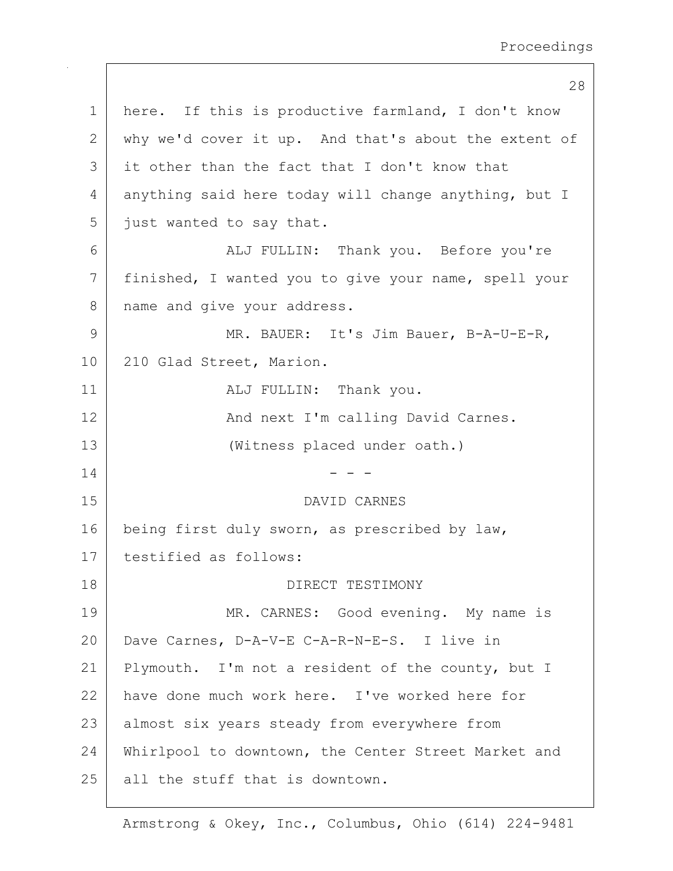28 1 here. If this is productive farmland, I don't know 2 why we'd cover it up. And that's about the extent of 3 it other than the fact that I don't know that 4 anything said here today will change anything, but I 5 just wanted to say that. 6 | ALJ FULLIN: Thank you. Before you're 7 finished, I wanted you to give your name, spell your 8 | name and give your address. 9 | MR. BAUER: It's Jim Bauer, B-A-U-E-R, 10 210 Glad Street, Marion. 11 | ALJ FULLIN: Thank you. 12 | Robert I'm calling David Carnes. 13 (Witness placed under oath.)  $14$  - - -15 DAVID CARNES 16 being first duly sworn, as prescribed by law, 17 testified as follows: 18 DIRECT TESTIMONY 19 MR. CARNES: Good evening. My name is 20 Dave Carnes, D-A-V-E C-A-R-N-E-S. I live in 21 Plymouth. I'm not a resident of the county, but I 22 have done much work here. I've worked here for 23 almost six years steady from everywhere from 24 Whirlpool to downtown, the Center Street Market and 25 all the stuff that is downtown.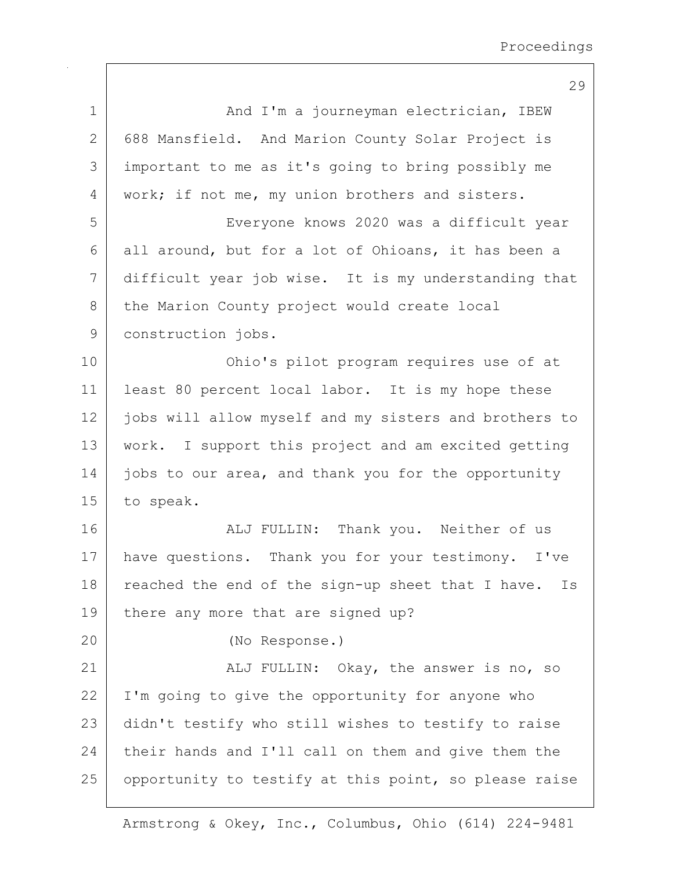|             | 29                                                      |
|-------------|---------------------------------------------------------|
| 1           | And I'm a journeyman electrician, IBEW                  |
| 2           | 688 Mansfield. And Marion County Solar Project is       |
| 3           | important to me as it's going to bring possibly me      |
| 4           | work; if not me, my union brothers and sisters.         |
| 5           | Everyone knows 2020 was a difficult year                |
| 6           | all around, but for a lot of Ohioans, it has been a     |
| 7           | difficult year job wise. It is my understanding that    |
| 8           | the Marion County project would create local            |
| $\mathsf 9$ | construction jobs.                                      |
| 10          | Ohio's pilot program requires use of at                 |
| 11          | least 80 percent local labor. It is my hope these       |
| 12          | jobs will allow myself and my sisters and brothers to   |
| 13          | work. I support this project and am excited getting     |
| 14          | jobs to our area, and thank you for the opportunity     |
| 15          | to speak.                                               |
| 16          | ALJ FULLIN: Thank you. Neither of us                    |
| 17          | have questions. Thank you for your testimony. I've      |
| 18          | reached the end of the sign-up sheet that I have.<br>Is |
| 19          | there any more that are signed up?                      |
| 20          | (No Response.)                                          |
| 21          | ALJ FULLIN: Okay, the answer is no, so                  |
| 22          | I'm going to give the opportunity for anyone who        |
| 23          | didn't testify who still wishes to testify to raise     |
| 24          | their hands and I'll call on them and give them the     |
| 25          | opportunity to testify at this point, so please raise   |
|             |                                                         |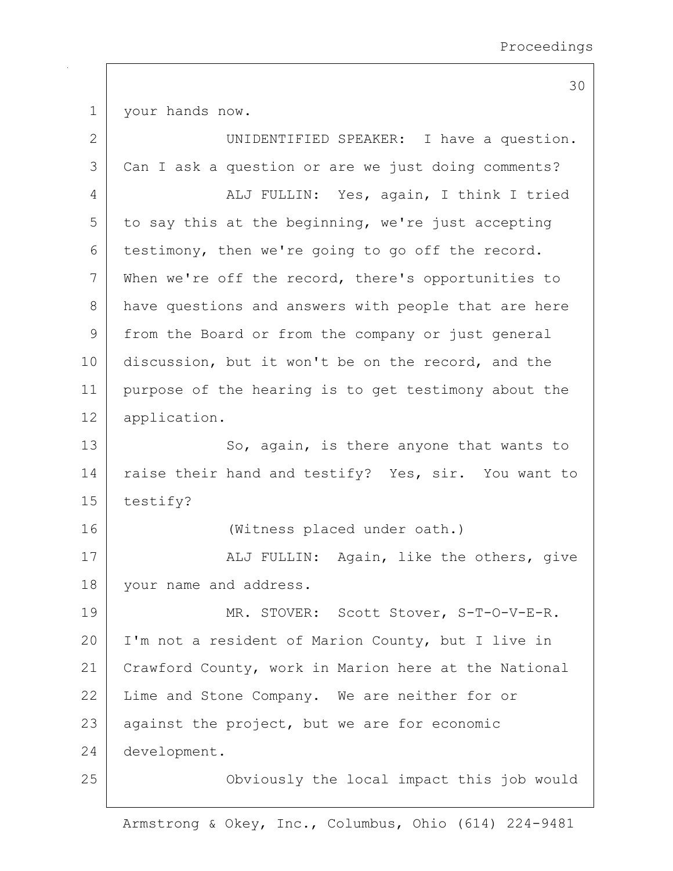1 your hands now.

| $\overline{2}$ | UNIDENTIFIED SPEAKER: I have a question.             |
|----------------|------------------------------------------------------|
| 3              | Can I ask a question or are we just doing comments?  |
| 4              | ALJ FULLIN: Yes, again, I think I tried              |
| 5              | to say this at the beginning, we're just accepting   |
| 6              | testimony, then we're going to go off the record.    |
| 7              | When we're off the record, there's opportunities to  |
| 8              | have questions and answers with people that are here |
| 9              | from the Board or from the company or just general   |
| 10             | discussion, but it won't be on the record, and the   |
| 11             | purpose of the hearing is to get testimony about the |
| 12             | application.                                         |
| 13             | So, again, is there anyone that wants to             |
| 14             | raise their hand and testify? Yes, sir. You want to  |
| 15             | testify?                                             |
| 16             | (Witness placed under oath.)                         |
| 17             | ALJ FULLIN: Again, like the others, give             |
| 18             | your name and address.                               |
| 19             | MR. STOVER:<br>Scott Stover, S-T-O-V-E-R.            |
| 20             | I'm not a resident of Marion County, but I live in   |
| 21             | Crawford County, work in Marion here at the National |
| 22             | Lime and Stone Company. We are neither for or        |
| 23             | against the project, but we are for economic         |
| 24             | development.                                         |
| 25             | Obviously the local impact this job would            |

Armstrong & Okey, Inc., Columbus, Ohio (614) 224-9481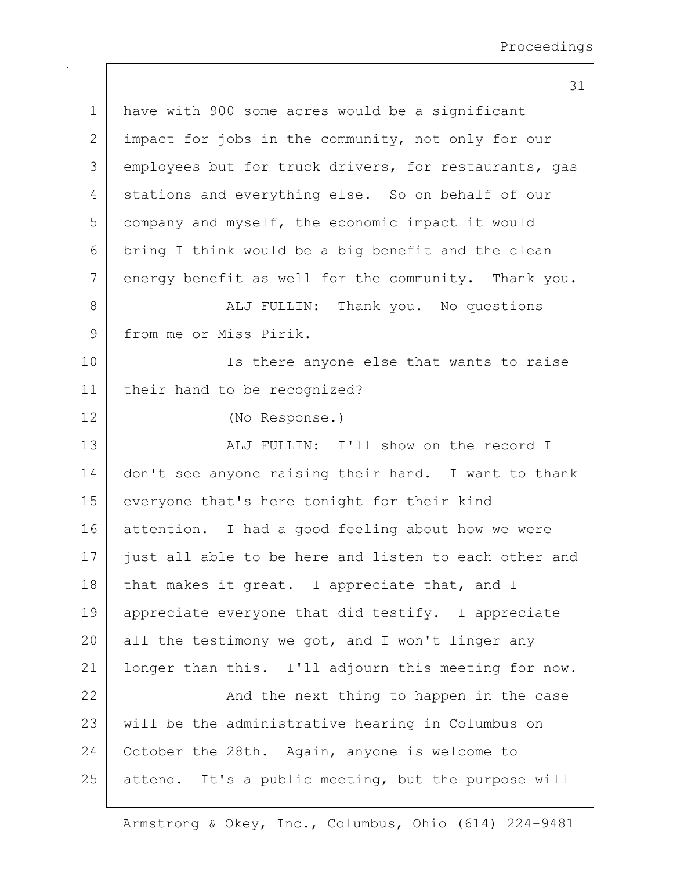|             | 31                                                    |
|-------------|-------------------------------------------------------|
| 1           | have with 900 some acres would be a significant       |
| 2           | impact for jobs in the community, not only for our    |
| 3           | employees but for truck drivers, for restaurants, gas |
| 4           | stations and everything else. So on behalf of our     |
| 5           | company and myself, the economic impact it would      |
| 6           | bring I think would be a big benefit and the clean    |
| 7           | energy benefit as well for the community. Thank you.  |
| 8           | ALJ FULLIN: Thank you. No questions                   |
| $\mathsf 9$ | from me or Miss Pirik.                                |
| 10          | Is there anyone else that wants to raise              |
| 11          | their hand to be recognized?                          |
| 12          | (No Response.)                                        |
| 13          | ALJ FULLIN: I'll show on the record I                 |
| 14          | don't see anyone raising their hand. I want to thank  |
| 15          | everyone that's here tonight for their kind           |
| 16          | attention. I had a good feeling about how we were     |
| 17          | just all able to be here and listen to each other and |
| 18          | that makes it great. I appreciate that, and I         |
| 19          | appreciate everyone that did testify. I appreciate    |
| 20          | all the testimony we got, and I won't linger any      |
| 21          | longer than this. I'll adjourn this meeting for now.  |
| 22          | And the next thing to happen in the case              |
| 23          | will be the administrative hearing in Columbus on     |
| 24          | October the 28th. Again, anyone is welcome to         |
| 25          | attend. It's a public meeting, but the purpose will   |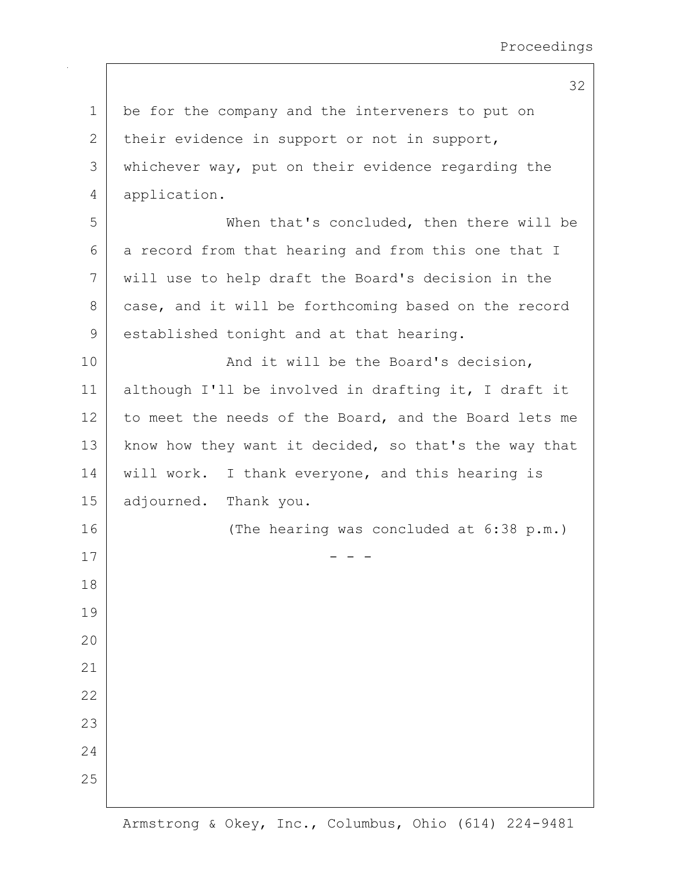1 be for the company and the interveners to put on 2 their evidence in support or not in support, 3 whichever way, put on their evidence regarding the 4 application. 5 When that's concluded, then there will be  $6$  a record from that hearing and from this one that I 7 will use to help draft the Board's decision in the 8 case, and it will be forthcoming based on the record 9 established tonight and at that hearing. 10 | And it will be the Board's decision, 11 although I'll be involved in drafting it, I draft it 12 to meet the needs of the Board, and the Board lets me 13 | know how they want it decided, so that's the way that 14 | will work. I thank everyone, and this hearing is 15 adjourned. Thank you. 16 (The hearing was concluded at 6:38 p.m.)  $17$   $-$  - -18 19 20 21 22 23 24 25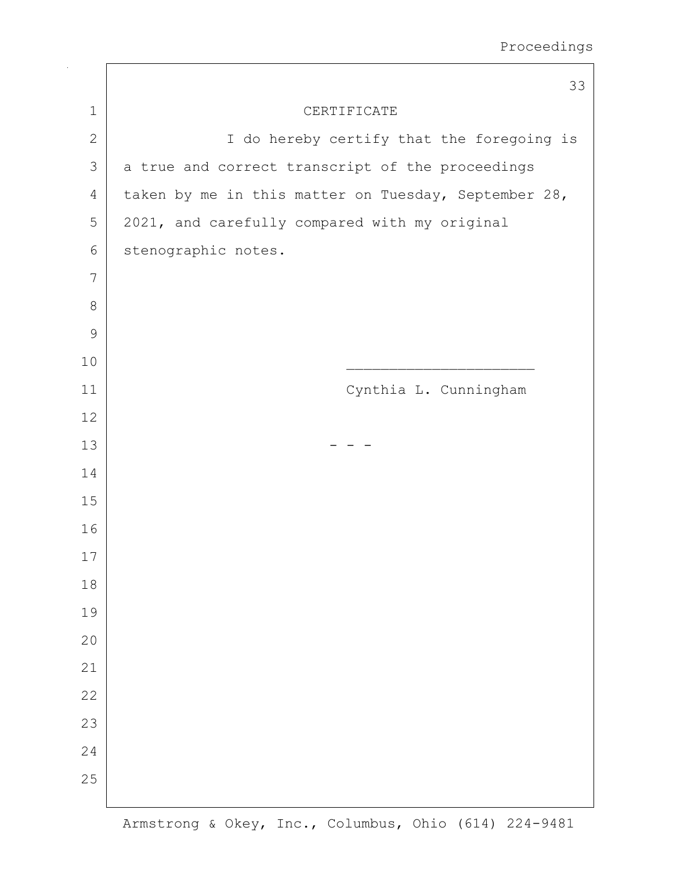|                | 33                                                   |
|----------------|------------------------------------------------------|
| $\mathbf 1$    | CERTIFICATE                                          |
| $\overline{2}$ | I do hereby certify that the foregoing is            |
| 3              | a true and correct transcript of the proceedings     |
| 4              | taken by me in this matter on Tuesday, September 28, |
| 5              | 2021, and carefully compared with my original        |
| 6              | stenographic notes.                                  |
| 7              |                                                      |
| $\,8\,$        |                                                      |
| $\mathcal{G}$  |                                                      |
| 10             |                                                      |
| 11             | Cynthia L. Cunningham                                |
| 12             |                                                      |
| 13             |                                                      |
| 14             |                                                      |
| 15             |                                                      |
| 16             |                                                      |
| 17             |                                                      |
| 18             |                                                      |
| 19             |                                                      |
| 20             |                                                      |
| 21             |                                                      |
| 22             |                                                      |
| 23             |                                                      |
| 24             |                                                      |
| 25             |                                                      |
|                |                                                      |

 $\Box$